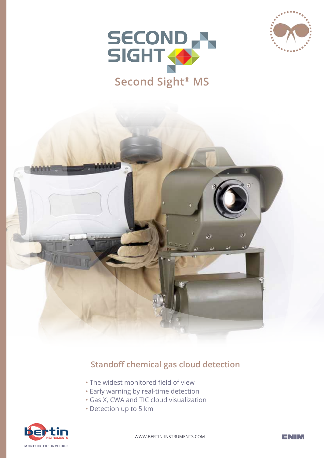





#### **Standoff chemical gas cloud detection**

- The widest monitored field of view
- Early warning by real-time detection
- Gas X, CWA and TIC cloud visualization
- Detection up to 5 km



WWW.BERTIN-INSTRUMENTS.COM